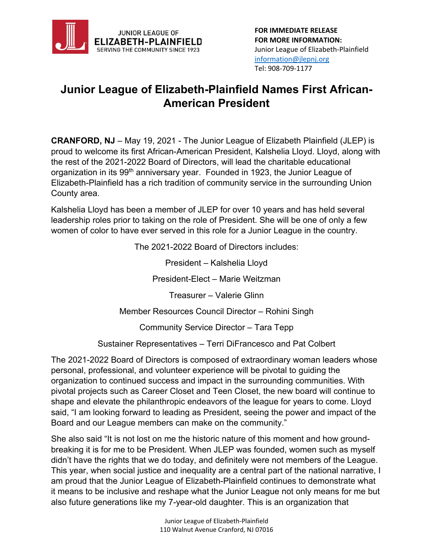

## **Junior League of Elizabeth-Plainfield Names First African-American President**

**CRANFORD, NJ** – May 19, 2021 - The Junior League of Elizabeth Plainfield (JLEP) is proud to welcome its first African-American President, Kalshelia Lloyd. Lloyd, along with the rest of the 2021-2022 Board of Directors, will lead the charitable educational organization in its 99<sup>th</sup> anniversary year. Founded in 1923, the Junior League of Elizabeth-Plainfield has a rich tradition of community service in the surrounding Union County area.

Kalshelia Lloyd has been a member of JLEP for over 10 years and has held several leadership roles prior to taking on the role of President. She will be one of only a few women of color to have ever served in this role for a Junior League in the country.

The 2021-2022 Board of Directors includes:

President – Kalshelia Lloyd

President-Elect – Marie Weitzman

Treasurer – Valerie Glinn

Member Resources Council Director – Rohini Singh

Community Service Director – Tara Tepp

Sustainer Representatives – Terri DiFrancesco and Pat Colbert

The 2021-2022 Board of Directors is composed of extraordinary woman leaders whose personal, professional, and volunteer experience will be pivotal to guiding the organization to continued success and impact in the surrounding communities. With pivotal projects such as Career Closet and Teen Closet, the new board will continue to shape and elevate the philanthropic endeavors of the league for years to come. Lloyd said, "I am looking forward to leading as President, seeing the power and impact of the Board and our League members can make on the community."

She also said "It is not lost on me the historic nature of this moment and how groundbreaking it is for me to be President. When JLEP was founded, women such as myself didn't have the rights that we do today, and definitely were not members of the League. This year, when social justice and inequality are a central part of the national narrative, I am proud that the Junior League of Elizabeth-Plainfield continues to demonstrate what it means to be inclusive and reshape what the Junior League not only means for me but also future generations like my 7-year-old daughter. This is an organization that